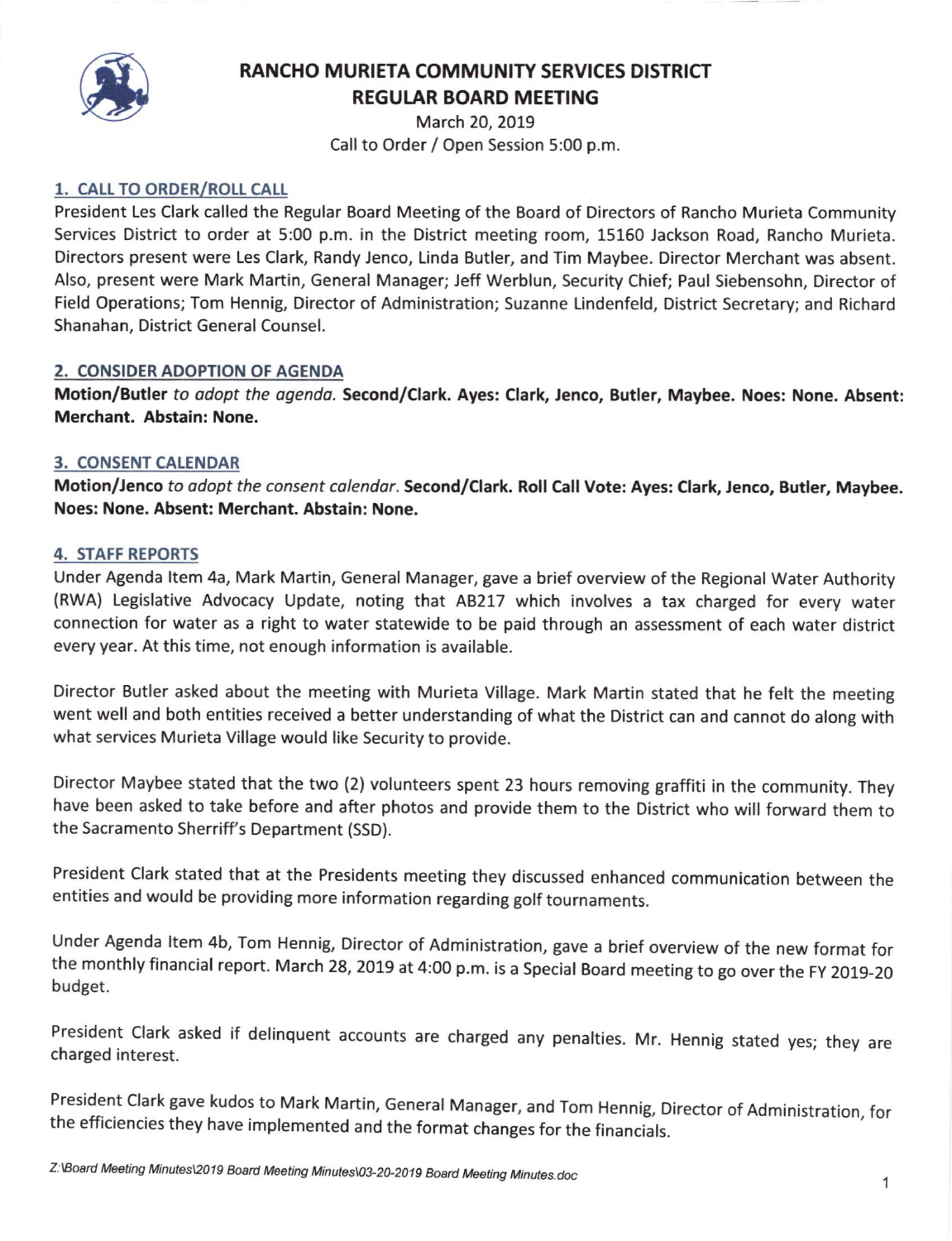

# RANCHO MURIETA COMMUNITY SERVICES DISTRICT **REGULAR BOARD MEETING**

March 20, 2019 Call to Order / Open Session 5:00 p.m.

#### 1. CALL TO ORDER/ROLL CALL

President Les Clark called the Regular Board Meeting of the Board of Directors of Rancho Murieta Community Services District to order at 5:00 p.m. in the District meeting room, 15160 Jackson Road, Rancho Murieta. Directors present were Les Clark, Randy Jenco, Linda Butler, and Tim Maybee. Director Merchant was absent. Also, present were Mark Martin, General Manager; Jeff Werblun, Security Chief; Paul Siebensohn, Director of Field Operations; Tom Hennig, Director of Administration; Suzanne Lindenfeld, District Secretary; and Richard Shanahan, District General Counsel.

#### 2. CONSIDER ADOPTION OF AGENDA

Motion/Butler to adopt the agenda. Second/Clark. Ayes: Clark, Jenco, Butler, Maybee. Noes: None. Absent: Merchant. Abstain: None.

#### **3. CONSENT CALENDAR**

Motion/Jenco to adopt the consent calendar. Second/Clark. Roll Call Vote: Ayes: Clark, Jenco, Butler, Maybee. Noes: None. Absent: Merchant. Abstain: None.

#### 4. STAFF REPORTS

Under Agenda ltem 4a, Mark Martin, General Manager, gave a brief overview of the Regional Water Authority (RWA) Legislative Advocacy Update, noting that A8217 which involves a tax charged for every water connection for water as a right to water statewide to be paid through an assessment of each water district every year. At this time, not enough information is available.

Director Butler asked about the meeting with Murieta Village. Mark Martin stated that he felt the meeting went well and both entities received a better understanding of what the District can and cannot do along with what services Murieta Village would like Security to provide.

Director Maybee stated that the two (2) volunteers spent 23 hours removing graffiti in the community. They have been asked to take before and after photos and provide them to the District who will forward them to the Sacramento Sherriff's Department (SSD).

President clark stated that at the Presidents meeting they discussed enhanced communication between the entities and would be providing more information regarding golf tournaments.

Under Agenda ltem 4b, Tom Hennig, Director of Administration, gave a brief overview of the new format for the monthly financial report. March 28, 2019 at 4:00 p.m. is a Special Board meeting to go over the FY 2019-20 budget.

President Clark asked if delinquent accounts are charged any penalties. Mr. Hennig stated yes; they are charged interest.

President Clark gave kudos to Mark Martin, General Manager, and Tom Hennig, Director of Administration, for the efficiencies they have implemented and the format changes for the financials.